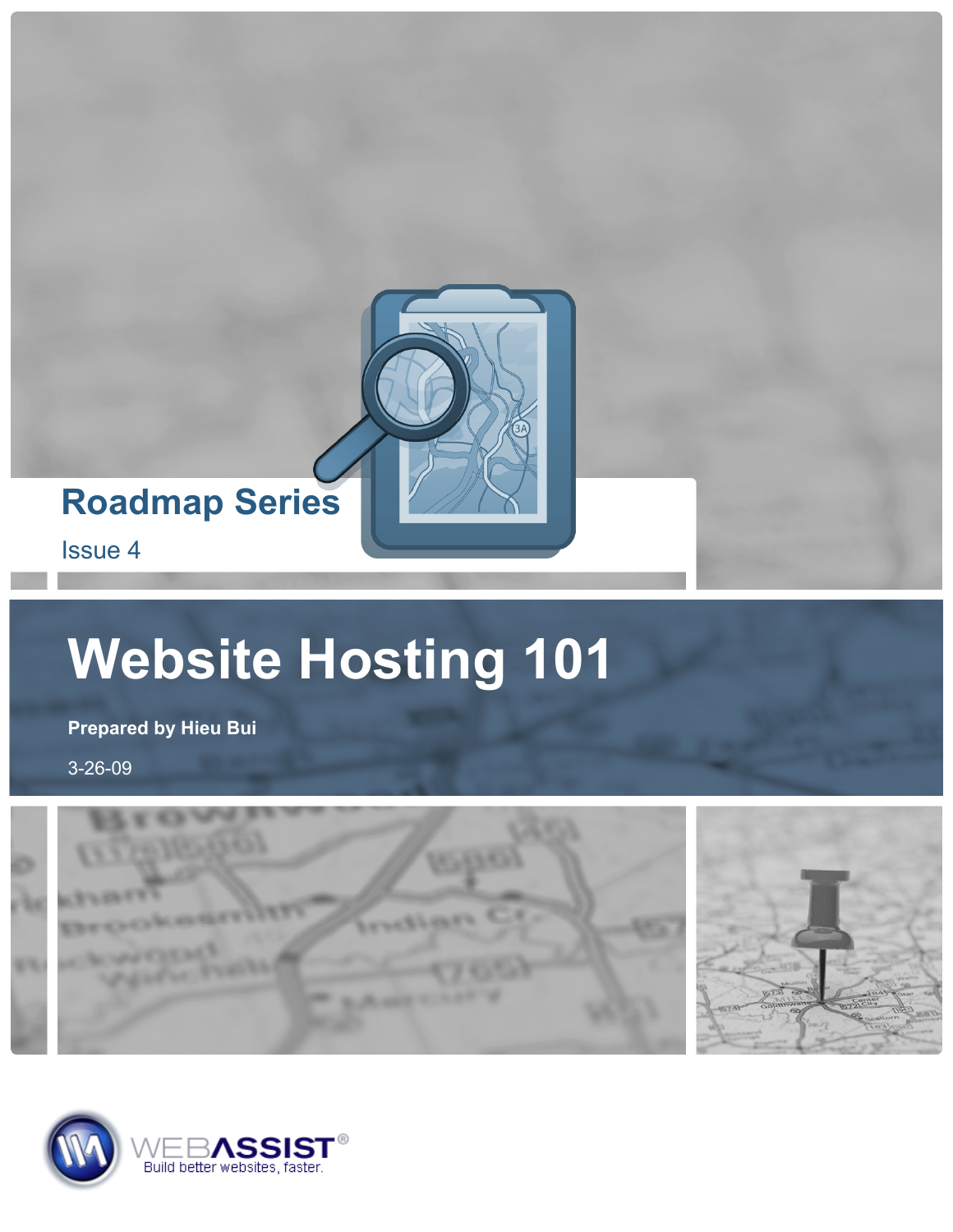

# **Website Hosting 101**

**Prepared by Hieu Bui** 

3-26-09



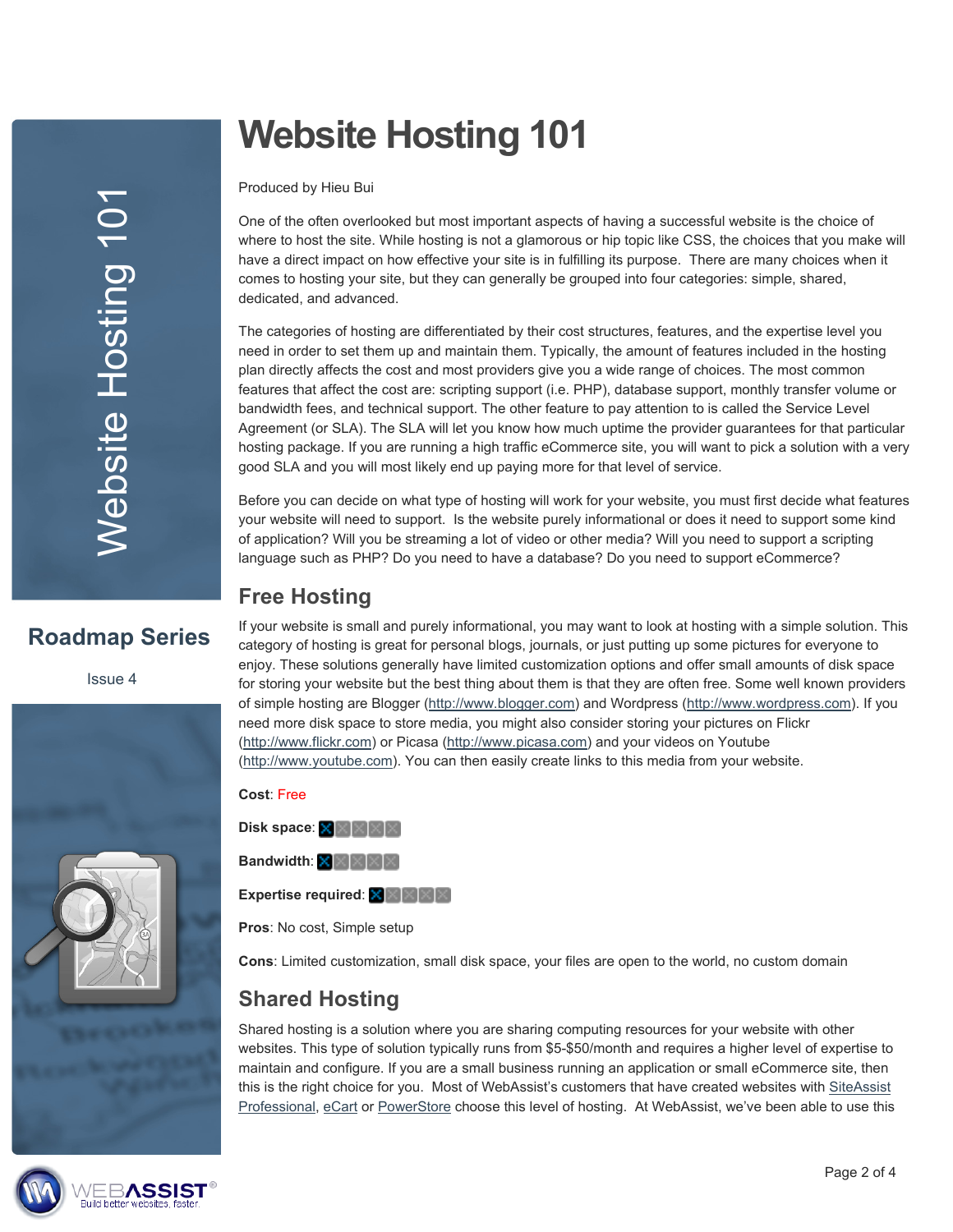# **Website Hosting 101**

Produced by Hieu Bui

One of the often overlooked but most important aspects of having a successful website is the choice of where to host the site. While hosting is not a glamorous or hip topic like CSS, the choices that you make will have a direct impact on how effective your site is in fulfilling its purpose. There are many choices when it comes to hosting your site, but they can generally be grouped into four categories: simple, shared, dedicated, and advanced.

The categories of hosting are differentiated by their cost structures, features, and the expertise level you need in order to set them up and maintain them. Typically, the amount of features included in the hosting plan directly affects the cost and most providers give you a wide range of choices. The most common features that affect the cost are: scripting support (i.e. PHP), database support, monthly transfer volume or bandwidth fees, and technical support. The other feature to pay attention to is called the Service Level Agreement (or SLA). The SLA will let you know how much uptime the provider guarantees for that particular hosting package. If you are running a high traffic eCommerce site, you will want to pick a solution with a very good SLA and you will most likely end up paying more for that level of service.

Before you can decide on what type of hosting will work for your website, you must first decide what features your website will need to support. Is the website purely informational or does it need to support some kind of application? Will you be streaming a lot of video or other media? Will you need to support a scripting language such as PHP? Do you need to have a database? Do you need to support eCommerce?

# **Free Hosting**

# **Roadmap Series**

Issue 4



If your website is small and purely informational, you may want to look at hosting with a simple solution. This category of hosting is great for personal blogs, journals, or just putting up some pictures for everyone to enjoy. These solutions generally have limited customization options and offer small amounts of disk space for storing your website but the best thing about them is that they are often free. Some well known providers of simple hosting are Blogger [\(http://www.blogger.com](http://www.blogger.com/)) and Wordpress [\(http://www.wordpress.com\)](http://www.wordpress.com/). If you need more disk space to store media, you might also consider storing your pictures on Flickr [\(http://www.flickr.com\)](http://www.flickr.com/) or Picasa [\(http://www.picasa.com](http://www.picasa.com/)) and your videos on Youtube [\(http://www.youtube.com](http://www.youtube.com/)). You can then easily create links to this media from your website.

**Cost**: Free **Disk space**: **Bandwidth:**  $\times \times \times \times \times$ **Expertise required:** XXXXX

**Pros**: No cost, Simple setup

**Cons**: Limited customization, small disk space, your files are open to the world, no custom domain

# **Shared Hosting**

Shared hosting is a solution where you are sharing computing resources for your website with other websites. This type of solution typically runs from \$5-\$50/month and requires a higher level of expertise to maintain and configure. If you are a small business running an application or small eCommerce site, then this is the right choice for you. Most of WebAssist's customers that have created websites with SiteAssist [Professional,](http://www.webassist.com/software/siteassist/?WAAID=893) [eCart](http://www.webassist.com/software/ecart/?WAAID=893) or [PowerStore](http://www.webassist.com/solutions/powerstore/?WAAID=893) choose this level of hosting. At WebAssist, we've been able to use this

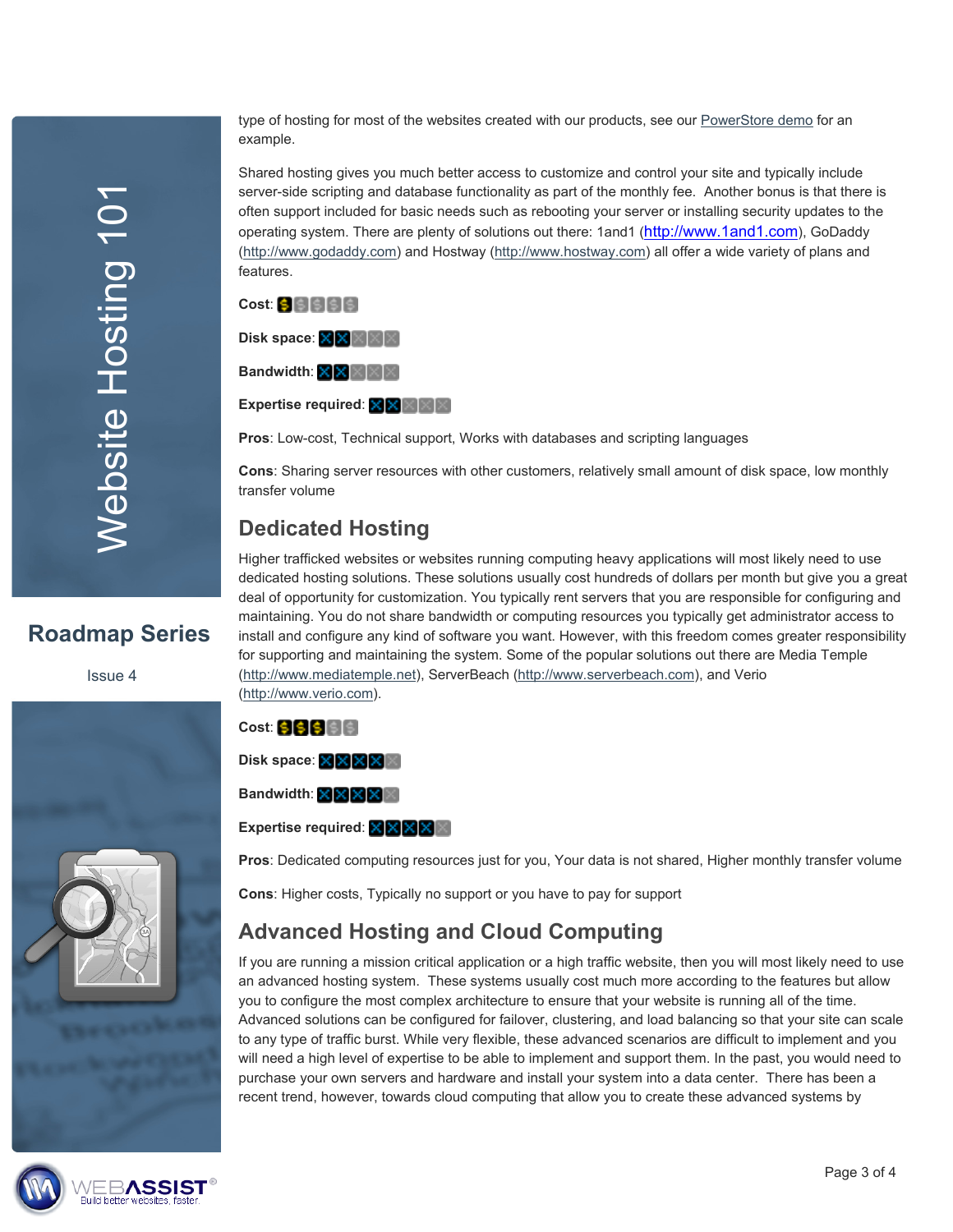Website Hosting 101 **Nebsite Hosting 101** 

**Roadmap Series** 

Issue 4

type of hosting for most of the websites created with our products, see our [PowerStore demo](http://www.powerstore-demo.com/) for an example.

Shared hosting gives you much better access to customize and control your site and typically include server-side scripting and database functionality as part of the monthly fee. Another bonus is that there is often support included for basic needs such as rebooting your server or installing security updates to the operating system. There are plenty of solutions out there: 1and1 ([http://www.1and1.com\)](http://www.webassist.com/go/signup/1and1), GoDaddy ([http://www.godaddy.com\)](http://www.godaddy.com/) and Hostway ([http://www.hostway.com\)](http://www.hostway.com/) all offer a wide variety of plans and features.

| Cost: SISISISI                    |
|-----------------------------------|
|                                   |
| <b>Bandwidth: XXXXXXXXX</b>       |
| <b>Expertise required: XXXIII</b> |

**Pros**: Low-cost, Technical support, Works with databases and scripting languages

**Cons**: Sharing server resources with other customers, relatively small amount of disk space, low monthly transfer volume

## **Dedicated Hosting**

Higher trafficked websites or websites running computing heavy applications will most likely need to use dedicated hosting solutions. These solutions usually cost hundreds of dollars per month but give you a great deal of opportunity for customization. You typically rent servers that you are responsible for configuring and maintaining. You do not share bandwidth or computing resources you typically get administrator access to install and configure any kind of software you want. However, with this freedom comes greater responsibility for supporting and maintaining the system. Some of the popular solutions out there are Media Temple [\(http://www.mediatemple.net](http://www.mediatemple.net/)), ServerBeach ([http://www.serverbeach.com](http://www.serverbeach.com/)), and Verio [\(http://www.verio.com\)](http://www.verio.com/).

#### **Cost: 99966**

Disk space: XXXXX

**Bandwidth:** XXXX

**Expertise required:** XXXX

**Pros**: Dedicated computing resources just for you, Your data is not shared, Higher monthly transfer volume

**Cons**: Higher costs, Typically no support or you have to pay for support

## **Advanced Hosting and Cloud Computing**

If you are running a mission critical application or a high traffic website, then you will most likely need to use an advanced hosting system. These systems usually cost much more according to the features but allow you to configure the most complex architecture to ensure that your website is running all of the time. Advanced solutions can be configured for failover, clustering, and load balancing so that your site can scale to any type of traffic burst. While very flexible, these advanced scenarios are difficult to implement and you will need a high level of expertise to be able to implement and support them. In the past, you would need to purchase your own servers and hardware and install your system into a data center. There has been a recent trend, however, towards cloud computing that allow you to create these advanced systems by